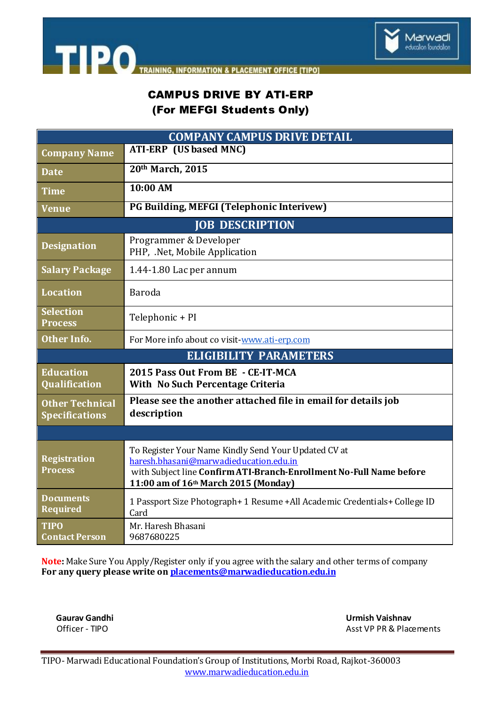

**TIPO** TRAINING **INFORMATION & PLACEMENT OFFICE [TIPO]** 

# CAMPUS DRIVE BY ATI-ERP (For MEFGI Students Only)

| <b>COMPANY CAMPUS DRIVE DETAIL</b>              |                                                                                                                                                                                                               |
|-------------------------------------------------|---------------------------------------------------------------------------------------------------------------------------------------------------------------------------------------------------------------|
| <b>Company Name</b>                             | <b>ATI-ERP</b> (US based MNC)                                                                                                                                                                                 |
| <b>Date</b>                                     | 20th March, 2015                                                                                                                                                                                              |
| <b>Time</b>                                     | 10:00 AM                                                                                                                                                                                                      |
| <b>Venue</b>                                    | PG Building, MEFGI (Telephonic Interivew)                                                                                                                                                                     |
| <b>JOB DESCRIPTION</b>                          |                                                                                                                                                                                                               |
| <b>Designation</b>                              | Programmer & Developer<br>PHP, .Net, Mobile Application                                                                                                                                                       |
| <b>Salary Package</b>                           | 1.44-1.80 Lac per annum                                                                                                                                                                                       |
| <b>Location</b>                                 | Baroda                                                                                                                                                                                                        |
| <b>Selection</b><br><b>Process</b>              | Telephonic + PI                                                                                                                                                                                               |
| <b>Other Info.</b>                              | For More info about co visit-www.ati-erp.com                                                                                                                                                                  |
| <b>ELIGIBILITY PARAMETERS</b>                   |                                                                                                                                                                                                               |
| <b>Education</b><br><b>Qualification</b>        | 2015 Pass Out From BE - CE-IT-MCA<br>With No Such Percentage Criteria                                                                                                                                         |
| <b>Other Technical</b><br><b>Specifications</b> | Please see the another attached file in email for details job<br>description                                                                                                                                  |
|                                                 |                                                                                                                                                                                                               |
| <b>Registration</b><br><b>Process</b>           | To Register Your Name Kindly Send Your Updated CV at<br>haresh.bhasani@marwadieducation.edu.in<br>with Subject line Confirm ATI-Branch-Enrollment No-Full Name before<br>11:00 am of 16th March 2015 (Monday) |
| <b>Documents</b><br><b>Required</b>             | 1 Passport Size Photograph+ 1 Resume + All Academic Credentials+ College ID<br>Card                                                                                                                           |
| <b>TIPO</b><br><b>Contact Person</b>            | Mr. Haresh Bhasani<br>9687680225                                                                                                                                                                              |

**Note:** Make Sure You Apply/Register only if you agree with the salary and other terms of company **For any query please write o[n placements@marwadieducation.edu.in](mailto:placements@marwadieducation.edu.in)**

 **Gaurav Gandhi Urmish Vaishnav**  Asst VP PR & Placements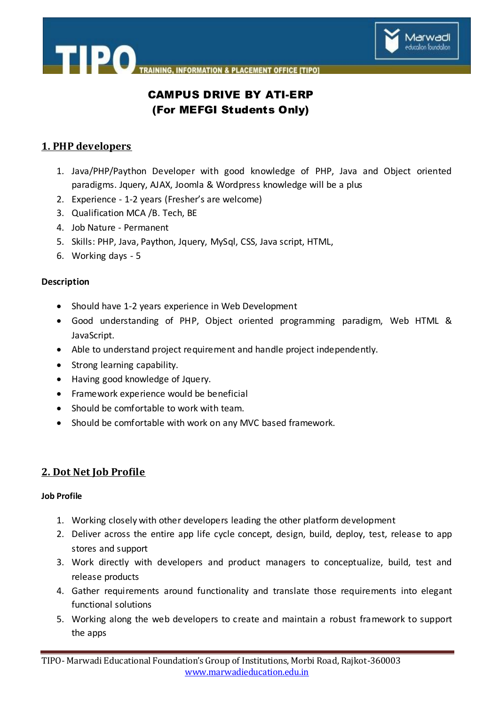



# CAMPUS DRIVE BY ATI-ERP (For MEFGI Students Only)

## **1. PHP developers**

TIPO.

- 1. Java/PHP/Paython Developer with good knowledge of PHP, Java and Object oriented paradigms. Jquery, AJAX, Joomla & Wordpress knowledge will be a plus
- 2. Experience 1-2 years (Fresher's are welcome)
- 3. Qualification MCA /B. Tech, BE
- 4. Job Nature Permanent
- 5. Skills: PHP, Java, Paython, Jquery, MySql, CSS, Java script, HTML,
- 6. Working days 5

### **Description**

- Should have 1-2 years experience in Web Development
- Good understanding of PHP, Object oriented programming paradigm, Web HTML & JavaScript.
- Able to understand project requirement and handle project independently.
- Strong learning capability.
- Having good knowledge of Jquery.
- Framework experience would be beneficial
- Should be comfortable to work with team.
- Should be comfortable with work on any MVC based framework.

### **2. Dot Net Job Profile**

### **Job Profile**

- 1. Working closely with other developers leading the other platform development
- 2. Deliver across the entire app life cycle concept, design, build, deploy, test, release to app stores and support
- 3. Work directly with developers and product managers to conceptualize, build, test and release products
- 4. Gather requirements around functionality and translate those requirements into elegant functional solutions
- 5. Working along the web developers to create and maintain a robust framework to support the apps